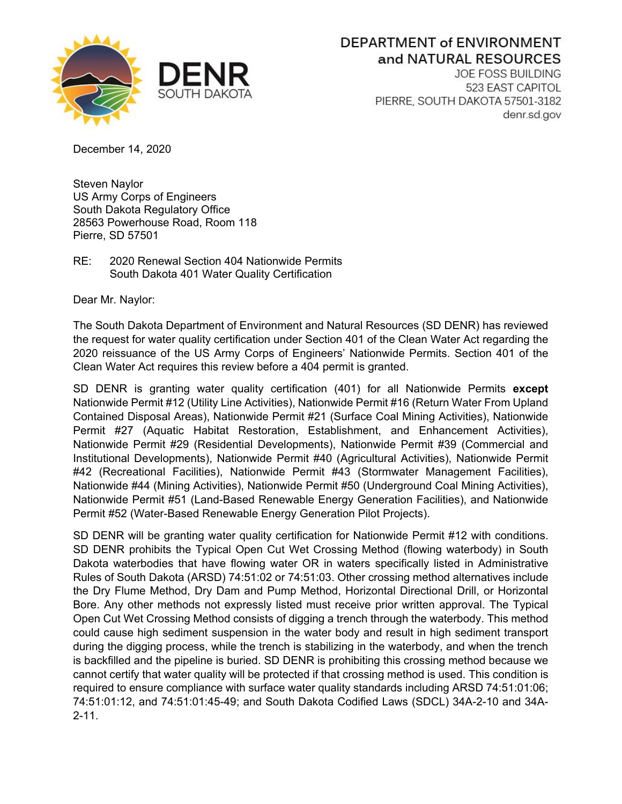

## DEPARTMENT of ENVIRONMENT and NATURAL RESOURCES

**JOE FOSS BUILDING** 523 EAST CAPITOL PIERRE, SOUTH DAKOTA 57501-3182 denr.sd.gov

December 14, 2020

Steven Naylor US Army Corps of Engineers South Dakota Regulatory Office 28563 Powerhouse Road, Room 118 Pierre, SD 57501

RE: 2020 Renewal Section 404 Nationwide Permits South Dakota 401 Water Quality Certification

Dear Mr. Naylor:

The South Dakota Department of Environment and Natural Resources (SD DENR) has reviewed the request for water quality certification under Section 401 of the Clean Water Act regarding the 2020 reissuance of the US Army Corps of Engineers' Nationwide Permits. Section 401 of the Clean Water Act requires this review before a 404 permit is granted.

SD DENR is granting water quality certification (401) for all Nationwide Permits **except** Nationwide Permit #12 (Utility Line Activities), Nationwide Permit #16 (Return Water From Upland Contained Disposal Areas), Nationwide Permit #21 (Surface Coal Mining Activities), Nationwide Permit #27 (Aquatic Habitat Restoration, Establishment, and Enhancement Activities), Nationwide Permit #29 (Residential Developments), Nationwide Permit #39 (Commercial and Institutional Developments), Nationwide Permit #40 (Agricultural Activities), Nationwide Permit #42 (Recreational Facilities), Nationwide Permit #43 (Stormwater Management Facilities), Nationwide #44 (Mining Activities), Nationwide Permit #50 (Underground Coal Mining Activities), Nationwide Permit #51 (Land-Based Renewable Energy Generation Facilities), and Nationwide Permit #52 (Water-Based Renewable Energy Generation Pilot Projects).

SD DENR will be granting water quality certification for Nationwide Permit #12 with conditions. SD DENR prohibits the Typical Open Cut Wet Crossing Method (flowing waterbody) in South Dakota waterbodies that have flowing water OR in waters specifically listed in Administrative Rules of South Dakota (ARSD) 74:51:02 or 74:51:03. Other crossing method alternatives include the Dry Flume Method, Dry Dam and Pump Method, Horizontal Directional Drill, or Horizontal Bore. Any other methods not expressly listed must receive prior written approval. The Typical Open Cut Wet Crossing Method consists of digging a trench through the waterbody. This method could cause high sediment suspension in the water body and result in high sediment transport during the digging process, while the trench is stabilizing in the waterbody, and when the trench is backfilled and the pipeline is buried. SD DENR is prohibiting this crossing method because we cannot certify that water quality will be protected if that crossing method is used. This condition is required to ensure compliance with surface water quality standards including ARSD 74:51:01:06; 74:51:01:12, and 74:51:01:45-49; and South Dakota Codified Laws (SDCL) 34A-2-10 and 34A-2-11.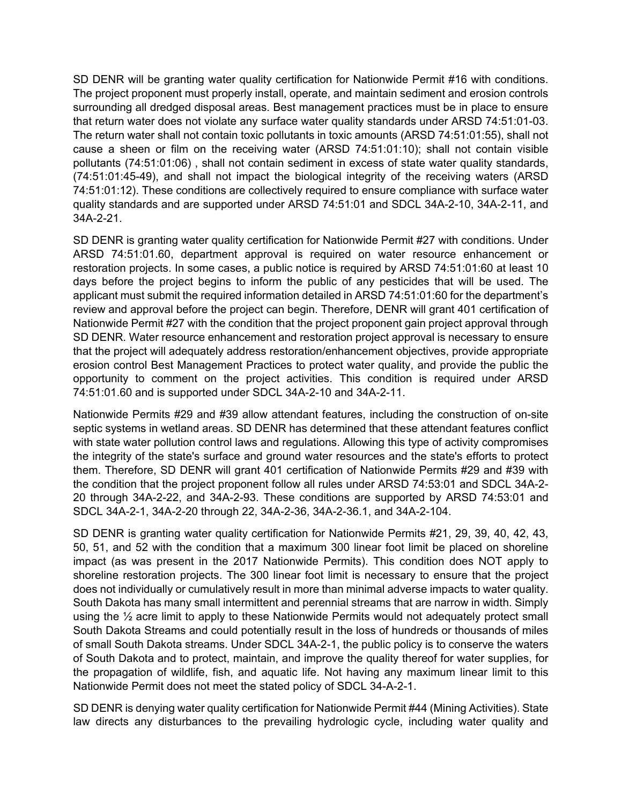SD DENR will be granting water quality certification for Nationwide Permit #16 with conditions. The project proponent must properly install, operate, and maintain sediment and erosion controls surrounding all dredged disposal areas. Best management practices must be in place to ensure that return water does not violate any surface water quality standards under ARSD 74:51:01-03. The return water shall not contain toxic pollutants in toxic amounts (ARSD 74:51:01:55), shall not cause a sheen or film on the receiving water (ARSD 74:51:01:10); shall not contain visible pollutants (74:51:01:06) , shall not contain sediment in excess of state water quality standards, (74:51:01:45-49), and shall not impact the biological integrity of the receiving waters (ARSD 74:51:01:12). These conditions are collectively required to ensure compliance with surface water quality standards and are supported under ARSD 74:51:01 and SDCL 34A-2-10, 34A-2-11, and 34A-2-21.

SD DENR is granting water quality certification for Nationwide Permit #27 with conditions. Under ARSD 74:51:01.60, department approval is required on water resource enhancement or restoration projects. In some cases, a public notice is required by ARSD 74:51:01:60 at least 10 days before the project begins to inform the public of any pesticides that will be used. The applicant must submit the required information detailed in ARSD 74:51:01:60 for the department's review and approval before the project can begin. Therefore, DENR will grant 401 certification of Nationwide Permit #27 with the condition that the project proponent gain project approval through SD DENR. Water resource enhancement and restoration project approval is necessary to ensure that the project will adequately address restoration/enhancement objectives, provide appropriate erosion control Best Management Practices to protect water quality, and provide the public the opportunity to comment on the project activities. This condition is required under ARSD 74:51:01.60 and is supported under SDCL 34A-2-10 and 34A-2-11.

Nationwide Permits #29 and #39 allow attendant features, including the construction of on-site septic systems in wetland areas. SD DENR has determined that these attendant features conflict with state water pollution control laws and regulations. Allowing this type of activity compromises the integrity of the state's surface and ground water resources and the state's efforts to protect them. Therefore, SD DENR will grant 401 certification of Nationwide Permits #29 and #39 with the condition that the project proponent follow all rules under ARSD 74:53:01 and SDCL 34A-2- 20 through 34A-2-22, and 34A-2-93. These conditions are supported by ARSD 74:53:01 and SDCL 34A-2-1, 34A-2-20 through 22, 34A-2-36, 34A-2-36.1, and 34A-2-104.

SD DENR is granting water quality certification for Nationwide Permits #21, 29, 39, 40, 42, 43, 50, 51, and 52 with the condition that a maximum 300 linear foot limit be placed on shoreline impact (as was present in the 2017 Nationwide Permits). This condition does NOT apply to shoreline restoration projects. The 300 linear foot limit is necessary to ensure that the project does not individually or cumulatively result in more than minimal adverse impacts to water quality. South Dakota has many small intermittent and perennial streams that are narrow in width. Simply using the  $\frac{1}{2}$  acre limit to apply to these Nationwide Permits would not adequately protect small South Dakota Streams and could potentially result in the loss of hundreds or thousands of miles of small South Dakota streams. Under SDCL 34A-2-1, the public policy is to conserve the waters of South Dakota and to protect, maintain, and improve the quality thereof for water supplies, for the propagation of wildlife, fish, and aquatic life. Not having any maximum linear limit to this Nationwide Permit does not meet the stated policy of SDCL 34-A-2-1.

SD DENR is denying water quality certification for Nationwide Permit #44 (Mining Activities). State law directs any disturbances to the prevailing hydrologic cycle, including water quality and